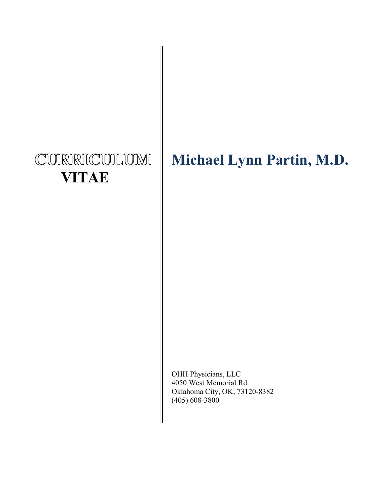# CURRICULUM  **VITAE**

# **Michael Lynn Partin, M.D.**

OHH Physicians, LLC 4050 West Memorial Rd. Oklahoma City, OK, 73120-8382 (405) 608-3800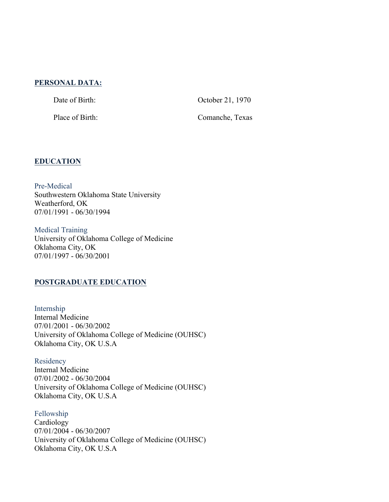#### **PERSONAL DATA:**

Date of Birth: October 21, 1970

Place of Birth: Comanche, Texas

#### **EDUCATION**

Pre-Medical Southwestern Oklahoma State University Weatherford, OK 07/01/1991 - 06/30/1994

Medical Training University of Oklahoma College of Medicine Oklahoma City, OK 07/01/1997 - 06/30/2001

## **POSTGRADUATE EDUCATION**

Internship Internal Medicine 07/01/2001 - 06/30/2002 University of Oklahoma College of Medicine (OUHSC) Oklahoma City, OK U.S.A

**Residency** Internal Medicine 07/01/2002 - 06/30/2004 University of Oklahoma College of Medicine (OUHSC) Oklahoma City, OK U.S.A

Fellowship Cardiology 07/01/2004 - 06/30/2007 University of Oklahoma College of Medicine (OUHSC) Oklahoma City, OK U.S.A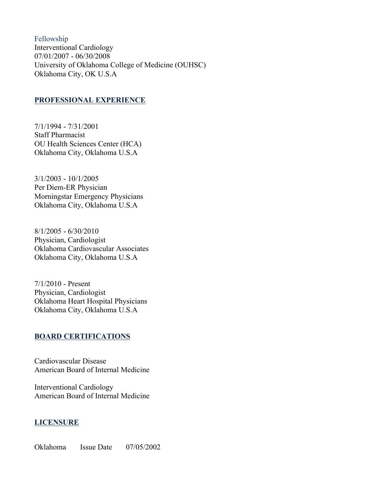Fellowship Interventional Cardiology 07/01/2007 - 06/30/2008 University of Oklahoma College of Medicine (OUHSC) Oklahoma City, OK U.S.A

#### **PROFESSIONAL EXPERIENCE**

7/1/1994 - 7/31/2001 Staff Pharmacist OU Health Sciences Center (HCA) Oklahoma City, Oklahoma U.S.A

3/1/2003 - 10/1/2005 Per Diem-ER Physician Morningstar Emergency Physicians Oklahoma City, Oklahoma U.S.A

8/1/2005 - 6/30/2010 Physician, Cardiologist Oklahoma Cardiovascular Associates Oklahoma City, Oklahoma U.S.A

7/1/2010 - Present Physician, Cardiologist Oklahoma Heart Hospital Physicians Oklahoma City, Oklahoma U.S.A

#### **BOARD CERTIFICATIONS**

Cardiovascular Disease American Board of Internal Medicine

Interventional Cardiology American Board of Internal Medicine

#### **LICENSURE**

Oklahoma Issue Date 07/05/2002